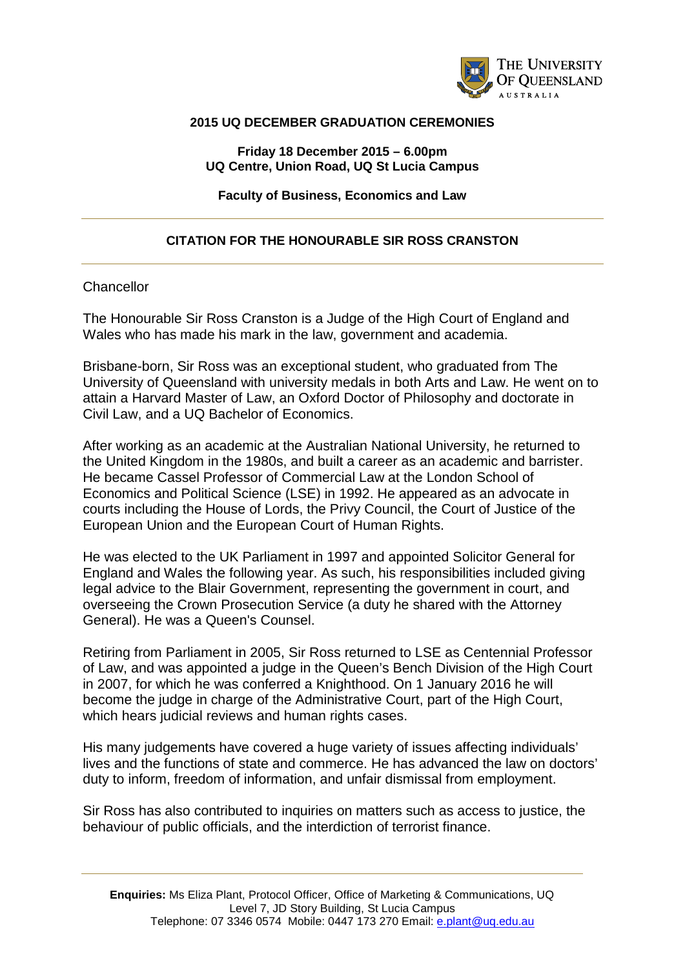

## **2015 UQ DECEMBER GRADUATION CEREMONIES**

**Friday 18 December 2015 – 6.00pm UQ Centre, Union Road, UQ St Lucia Campus**

**Faculty of Business, Economics and Law**

## **CITATION FOR THE HONOURABLE SIR ROSS CRANSTON**

## **Chancellor**

The Honourable Sir Ross Cranston is a Judge of the High Court of England and Wales who has made his mark in the law, government and academia.

Brisbane-born, Sir Ross was an exceptional student, who graduated from The University of Queensland with university medals in both Arts and Law. He went on to attain a Harvard Master of Law, an Oxford Doctor of Philosophy and doctorate in Civil Law, and a UQ Bachelor of Economics.

After working as an academic at the Australian National University, he returned to the United Kingdom in the 1980s, and built a career as an academic and barrister. He became Cassel Professor of Commercial Law at the London School of Economics and Political Science (LSE) in 1992. He appeared as an advocate in courts including the House of Lords, the Privy Council, the Court of Justice of the European Union and the European Court of Human Rights.

He was elected to the UK Parliament in 1997 and appointed Solicitor General for England and Wales the following year. As such, his responsibilities included giving legal advice to the Blair Government, representing the government in court, and overseeing the Crown Prosecution Service (a duty he shared with the Attorney General). He was a Queen's Counsel.

Retiring from Parliament in 2005, Sir Ross returned to LSE as Centennial Professor of Law, and was appointed a judge in the Queen's Bench Division of the High Court in 2007, for which he was conferred a Knighthood. On 1 January 2016 he will become the judge in charge of the Administrative Court, part of the High Court, which hears judicial reviews and human rights cases.

His many judgements have covered a huge variety of issues affecting individuals' lives and the functions of state and commerce. He has advanced the law on doctors' duty to inform, freedom of information, and unfair dismissal from employment.

Sir Ross has also contributed to inquiries on matters such as access to justice, the behaviour of public officials, and the interdiction of terrorist finance.